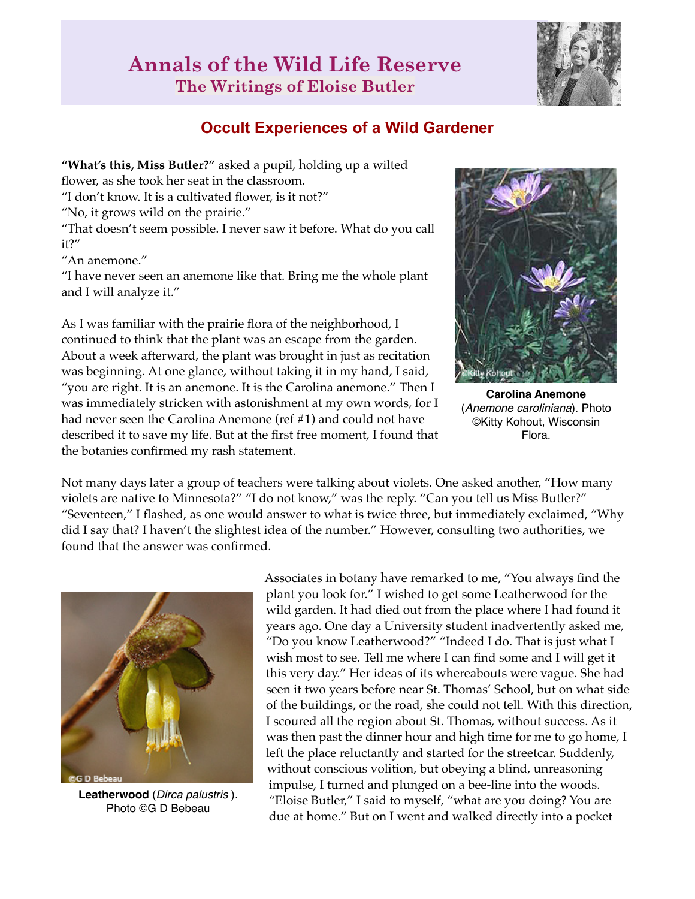## **Annals of the Wild Life Reserve The Writings of Eloise Butler**



## **Occult Experiences of a Wild Gardener**

**"What's this, Miss Butler?"** asked a pupil, holding up a wilted flower, as she took her seat in the classroom. "I don't know. It is a cultivated flower, is it not?" "No, it grows wild on the prairie." "That doesn't seem possible. I never saw it before. What do you call it?" "An anemone."

"I have never seen an anemone like that. Bring me the whole plant and I will analyze it."

As I was familiar with the prairie flora of the neighborhood, I continued to think that the plant was an escape from the garden. About a week afterward, the plant was brought in just as recitation was beginning. At one glance, without taking it in my hand, I said, "you are right. It is an anemone. It is the Carolina anemone." Then I was immediately stricken with astonishment at my own words, for I had never seen the Carolina Anemone (ref #1) and could not have described it to save my life. But at the first free moment, I found that the botanies confirmed my rash statement.



**Carolina Anemone** (*Anemone caroliniana*). Photo ©Kitty Kohout, Wisconsin Flora.

Not many days later a group of teachers were talking about violets. One asked another, "How many violets are native to Minnesota?" "I do not know," was the reply. "Can you tell us Miss Butler?" "Seventeen," I flashed, as one would answer to what is twice three, but immediately exclaimed, "Why did I say that? I haven't the slightest idea of the number." However, consulting two authorities, we found that the answer was confirmed.



**Leatherwood** (*Dirca palustris* ). Photo ©G D Bebeau

Associates in botany have remarked to me, "You always find the plant you look for." I wished to get some Leatherwood for the wild garden. It had died out from the place where I had found it years ago. One day a University student inadvertently asked me, "Do you know Leatherwood?" "Indeed I do. That is just what I wish most to see. Tell me where I can find some and I will get it this very day." Her ideas of its whereabouts were vague. She had seen it two years before near St. Thomas' School, but on what side of the buildings, or the road, she could not tell. With this direction, I scoured all the region about St. Thomas, without success. As it was then past the dinner hour and high time for me to go home, I left the place reluctantly and started for the streetcar. Suddenly, without conscious volition, but obeying a blind, unreasoning impulse, I turned and plunged on a bee-line into the woods. "Eloise Butler," I said to myself, "what are you doing? You are due at home." But on I went and walked directly into a pocket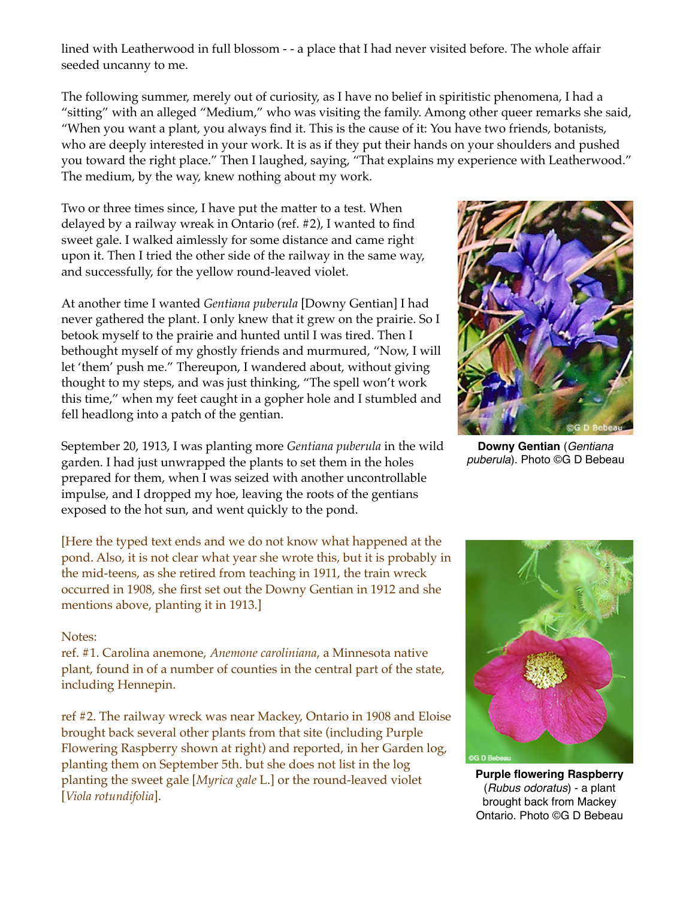lined with Leatherwood in full blossom - - a place that I had never visited before. The whole affair seeded uncanny to me.

The following summer, merely out of curiosity, as I have no belief in spiritistic phenomena, I had a "sitting" with an alleged "Medium," who was visiting the family. Among other queer remarks she said, "When you want a plant, you always find it. This is the cause of it: You have two friends, botanists, who are deeply interested in your work. It is as if they put their hands on your shoulders and pushed you toward the right place." Then I laughed, saying, "That explains my experience with Leatherwood." The medium, by the way, knew nothing about my work.

Two or three times since, I have put the matter to a test. When delayed by a railway wreak in Ontario (ref. #2), I wanted to find sweet gale. I walked aimlessly for some distance and came right upon it. Then I tried the other side of the railway in the same way, and successfully, for the yellow round-leaved violet.

At another time I wanted *Gentiana puberula* [Downy Gentian] I had never gathered the plant. I only knew that it grew on the prairie. So I betook myself to the prairie and hunted until I was tired. Then I bethought myself of my ghostly friends and murmured, "Now, I will let 'them' push me." Thereupon, I wandered about, without giving thought to my steps, and was just thinking, "The spell won't work this time," when my feet caught in a gopher hole and I stumbled and fell headlong into a patch of the gentian.

September 20, 1913, I was planting more *Gentiana puberula* in the wild garden. I had just unwrapped the plants to set them in the holes prepared for them, when I was seized with another uncontrollable impulse, and I dropped my hoe, leaving the roots of the gentians exposed to the hot sun, and went quickly to the pond.

[Here the typed text ends and we do not know what happened at the pond. Also, it is not clear what year she wrote this, but it is probably in the mid-teens, as she retired from teaching in 1911, the train wreck occurred in 1908, she first set out the Downy Gentian in 1912 and she mentions above, planting it in 1913.]

## Notes:

ref. #1. Carolina anemone, *Anemone caroliniana*, a Minnesota native plant, found in of a number of counties in the central part of the state, including Hennepin.

ref #2. The railway wreck was near Mackey, Ontario in 1908 and Eloise brought back several other plants from that site (including Purple Flowering Raspberry shown at right) and reported, in her Garden log, planting them on September 5th. but she does not list in the log planting the sweet gale [*Myrica gale* L.] or the round-leaved violet [*Viola rotundifolia*].



**Downy Gentian** (*Gentiana puberula*). Photo ©G D Bebeau



**Purple flowering Raspberry** (*Rubus odoratus*) - a plant brought back from Mackey Ontario. Photo ©G D Bebeau